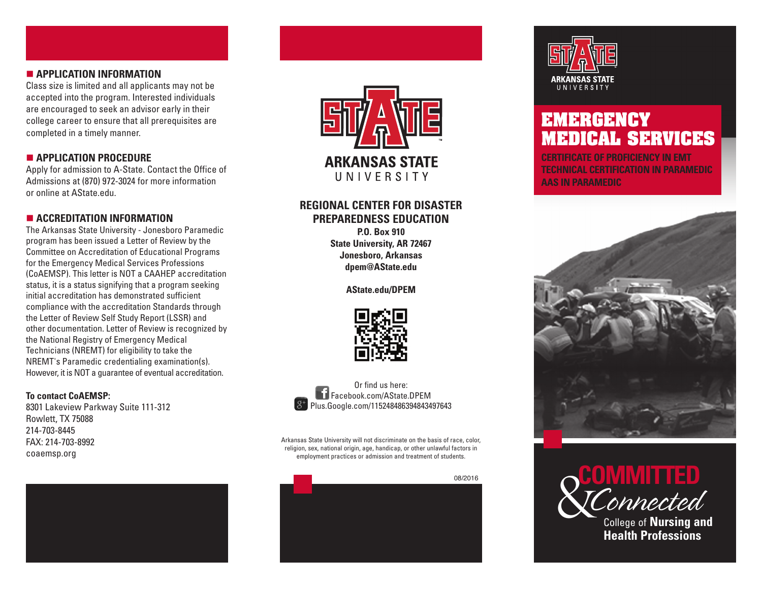## n **APPLICATION INFORMATION**

Class size is limited and all applicants may not be accepted into the program. Interested individuals are encouraged to seek an advisor early in their college career to ensure that all prerequisites are completed in a timely manner.

### n **APPLICATION PROCEDURE**

Apply for admission to A-State. Contact the Office of Admissions at (870) 972-3024 for more information or online at AState.edu.

## $\blacksquare$  **ACCREDITATION INFORMATION**

The Arkansas State University - Jonesboro Paramedic program has been issued a Letter of Review by the Committee on Accreditation of Educational Programs for the Emergency Medical Services Professions (CoAEMSP). This letter is NOT a CAAHEP accreditation status, it is a status signifying that a program seeking initial accreditation has demonstrated sufficient compliance with the accreditation Standards through the Letter of Review Self Study Report (LSSR) and other documentation. Letter of Review is recognized by the National Registry of Emergency Medical Technicians (NREMT) for eligibility to take the NREMT's Paramedic credentialing examination(s). However, it is NOT a guarantee of eventual accreditation.

#### **To contact CoAEMSP:**

8301 Lakeview Parkway Suite 111-312 Rowlett, TX 75088 214-703-8445 FAX: 214-703-8992 coaemsp.org





## **REGIONAL CENTER FOR DISASTER PREPAREDNESS EDUCATION**

**P.O. Box 910 State University, AR 72467 Jonesboro, Arkansas dpem@AState.edu**

**AState.edu/DPEM**





Arkansas State University will not discriminate on the basis of race, color, religion, sex, national origin, age, handicap, or other unlawful factors in employment practices or admission and treatment of students.





## **EMERGENCY MEDICAL SERVICES**

**CERTIFICATE OF PROFICIENCY IN EMT TECHNICAL CERTIFICATION IN PARAMEDIC AAS IN PARAMEDIC**





College of **Nursing and Health Professions**